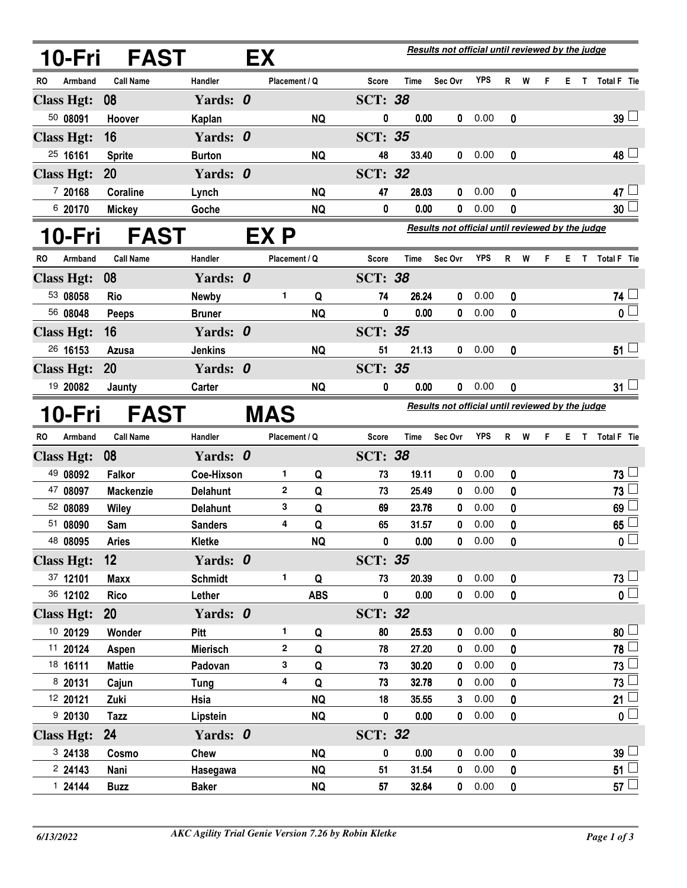| 10-Fri            | <b>FAST</b>               |                          | EX |               |                                                  | <b>Results not official until reviewed by the judge</b> |                                                  |              |              |        |   |   |    |              |                                 |  |
|-------------------|---------------------------|--------------------------|----|---------------|--------------------------------------------------|---------------------------------------------------------|--------------------------------------------------|--------------|--------------|--------|---|---|----|--------------|---------------------------------|--|
| RO<br>Armband     | <b>Call Name</b>          | Handler                  |    | Placement / Q |                                                  | Score                                                   | Time                                             | Sec Ovr      | YPS          | R      | W | F | E. | T            | <b>Total F</b> Tie              |  |
| <b>Class Hgt:</b> | 08                        | Yards: 0                 |    |               |                                                  | <b>SCT: 38</b>                                          |                                                  |              |              |        |   |   |    |              |                                 |  |
| 50 08091          | Hoover                    | Kaplan                   |    |               | <b>NQ</b>                                        | 0                                                       | 0.00                                             | 0            | 0.00         | 0      |   |   |    |              | $39\perp$                       |  |
| <b>Class Hgt:</b> | 16                        | Yards: 0                 |    |               |                                                  | <b>SCT: 35</b>                                          |                                                  |              |              |        |   |   |    |              |                                 |  |
| 25 16161          | <b>Sprite</b>             | <b>Burton</b>            |    |               | <b>NQ</b>                                        | 48                                                      | 33.40                                            | 0            | 0.00         | 0      |   |   |    |              | 48 L                            |  |
| <b>Class Hgt:</b> | 20                        | Yards: 0                 |    |               |                                                  | <b>SCT: 32</b>                                          |                                                  |              |              |        |   |   |    |              |                                 |  |
| 7 20168           | Coraline                  | Lynch                    |    |               | <b>NQ</b>                                        | 47                                                      | 28.03                                            | 0            | 0.00         | 0      |   |   |    |              | 47 $\lfloor$                    |  |
| 6 20170           | <b>Mickey</b>             | Goche                    |    |               | <b>NQ</b>                                        | 0                                                       | 0.00                                             | 0            | 0.00         | 0      |   |   |    |              | 30 <sup>1</sup>                 |  |
| 10-Fri            | <b>FAST</b>               |                          |    | EX P          | Results not official until reviewed by the judge |                                                         |                                                  |              |              |        |   |   |    |              |                                 |  |
| RO<br>Armband     | <b>Call Name</b>          | Handler                  |    | Placement / Q |                                                  | Score                                                   | Time                                             | Sec Ovr      | <b>YPS</b>   | R      | W | F | Е  | $\mathsf{T}$ | <b>Total F</b> Tie              |  |
| <b>Class Hgt:</b> | 08                        | Yards: 0                 |    |               |                                                  | <b>SCT: 38</b>                                          |                                                  |              |              |        |   |   |    |              |                                 |  |
| 53 08058          | <b>Rio</b>                | Newby                    |    | 1             | Q                                                | 74                                                      | 26.24                                            | 0            | 0.00         | 0      |   |   |    |              | 74 L                            |  |
| 56 08048          | <b>Peeps</b>              | <b>Bruner</b>            |    |               | <b>NQ</b>                                        | 0                                                       | 0.00                                             | 0            | 0.00         | 0      |   |   |    |              | 0 L                             |  |
| <b>Class Hgt:</b> | 16                        | Yards: 0                 |    |               |                                                  | <b>SCT: 35</b>                                          |                                                  |              |              |        |   |   |    |              |                                 |  |
| 26 16153          | <b>Azusa</b>              | <b>Jenkins</b>           |    |               | <b>NQ</b>                                        | 51                                                      | 21.13                                            | 0            | 0.00         | 0      |   |   |    |              | 51 $\mathsf{\mathsf{L}}$        |  |
| <b>Class Hgt:</b> | 20                        | Yards: 0                 |    |               |                                                  | <b>SCT: 35</b>                                          |                                                  |              |              |        |   |   |    |              |                                 |  |
| 19 20082          | Jaunty                    | Carter                   |    |               | <b>NQ</b>                                        | 0                                                       | 0.00                                             | 0            | 0.00         | 0      |   |   |    |              | 31 <sup>1</sup>                 |  |
| 10-Fri            | <b>FAST</b><br><b>MAS</b> |                          |    |               |                                                  |                                                         | Results not official until reviewed by the judge |              |              |        |   |   |    |              |                                 |  |
| Armband<br>RO     | <b>Call Name</b>          | Handler                  |    | Placement / Q |                                                  | Score                                                   | Time                                             | Sec Ovr      | YPS          | R      | W | F | Е. | T            | Total F Tie                     |  |
| <b>Class Hgt:</b> | 08                        | Yards: 0                 |    |               |                                                  | <b>SCT: 38</b>                                          |                                                  |              |              |        |   |   |    |              |                                 |  |
|                   |                           |                          |    |               |                                                  |                                                         |                                                  |              |              |        |   |   |    |              | 73                              |  |
| 49 08092          | <b>Falkor</b>             | Coe-Hixson               |    | 1             | Q                                                | 73                                                      | 19.11                                            | 0            | 0.00         | 0      |   |   |    |              |                                 |  |
| 47 08097          | <b>Mackenzie</b>          | <b>Delahunt</b>          |    | $\mathbf{2}$  | Q                                                | 73                                                      | 25.49                                            | 0            | 0.00         | 0      |   |   |    |              | 73                              |  |
| 52 08089          | Wiley                     | <b>Delahunt</b>          |    | 3             | Q                                                | 69                                                      | 23.76                                            | 0            | 0.00         | 0      |   |   |    |              | 69                              |  |
| 51 08090          | Sam                       | <b>Sanders</b>           |    | 4             | Q                                                | 65                                                      | 31.57                                            | 0            | 0.00         | 0      |   |   |    |              | 65                              |  |
| 48 08095          | <b>Aries</b>              | Kletke                   |    |               | <b>NQ</b>                                        | $\pmb{0}$                                               | 0.00                                             |              | 0.00         | 0      |   |   |    |              | $\mathbf{0}$ $\Box$             |  |
| <b>Class Hgt:</b> | 12                        | Yards: 0                 |    |               |                                                  | <b>SCT: 35</b>                                          |                                                  |              |              |        |   |   |    |              |                                 |  |
| 37 12101          | <b>Maxx</b>               | <b>Schmidt</b>           |    | 1             | Q                                                | 73                                                      | 20.39                                            | $\mathbf 0$  | 0.00         | 0      |   |   |    |              | 73 L                            |  |
| 36 12102          | <b>Rico</b>               | Lether                   |    |               | <b>ABS</b>                                       | 0                                                       | 0.00                                             | $\mathbf{0}$ | 0.00         | 0      |   |   |    |              | $\overline{\mathbf{0}}$         |  |
| <b>Class Hgt:</b> | <b>20</b>                 | Yards: 0                 |    |               |                                                  | <b>SCT: 32</b>                                          |                                                  |              |              |        |   |   |    |              |                                 |  |
| 10 20129          | Wonder                    | Pitt                     |    | 1             | Q                                                | 80                                                      | 25.53                                            | 0            | 0.00         | 0      |   |   |    |              | 80 <sup>1</sup>                 |  |
| 11 20124          | Aspen                     | <b>Mierisch</b>          |    | $\mathbf{2}$  | Q                                                | 78                                                      | 27.20                                            | 0            | 0.00         | 0      |   |   |    |              | 78 l                            |  |
| 18 16111          | <b>Mattie</b>             | Padovan                  |    | 3             | Q                                                | 73                                                      | 30.20                                            | 0            | 0.00         | 0      |   |   |    |              | 73                              |  |
| 8 20131           | Cajun                     | <b>Tung</b>              |    | 4             | Q                                                | 73                                                      | 32.78                                            | 0            | 0.00         | 0      |   |   |    |              | 73                              |  |
| 12 20121          | Zuki                      | Hsia                     |    |               | <b>NQ</b>                                        | 18                                                      | 35.55                                            | 3            | 0.00         | 0      |   |   |    |              | 21 <sup>1</sup>                 |  |
| 9 20130           | Tazz                      | Lipstein                 |    |               | <b>NQ</b>                                        | 0                                                       | 0.00                                             | 0            | 0.00         | 0      |   |   |    |              | $\mathfrak{o} \Box$             |  |
| <b>Class Hgt:</b> | 24                        | Yards: 0                 |    |               |                                                  | <b>SCT: 32</b>                                          |                                                  |              |              |        |   |   |    |              |                                 |  |
| 3 24138           | Cosmo                     | Chew                     |    |               | <b>NQ</b>                                        | 0                                                       | 0.00                                             | 0            | 0.00         | 0      |   |   |    |              | 39 <sup>1</sup>                 |  |
| 224143<br>124144  | Nani<br><b>Buzz</b>       | Hasegawa<br><b>Baker</b> |    |               | <b>NQ</b><br><b>NQ</b>                           | 51<br>57                                                | 31.54<br>32.64                                   | 0<br>0       | 0.00<br>0.00 | 0<br>0 |   |   |    |              | 51 <sup>1</sup><br>57 $\lfloor$ |  |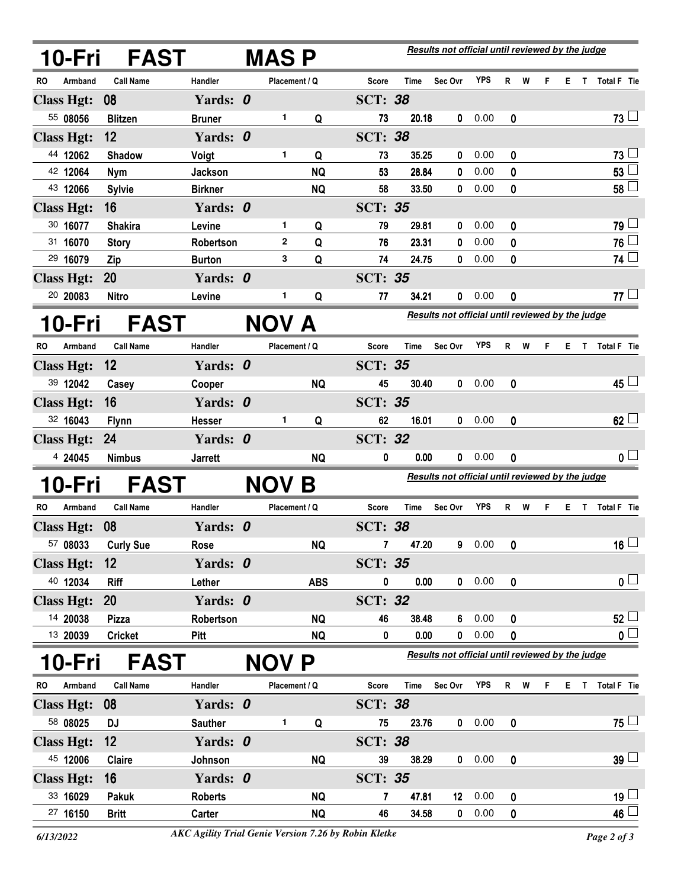|           | 10-Fri            | <b>FAST</b>              |                | <b>MAS P</b>  |            |                         |             | Results not official until reviewed by the judge |            |              |     |    |    |             |                         |
|-----------|-------------------|--------------------------|----------------|---------------|------------|-------------------------|-------------|--------------------------------------------------|------------|--------------|-----|----|----|-------------|-------------------------|
| RO        | Armband           | <b>Call Name</b>         | Handler        | Placement / Q |            | Score                   | Time        | Sec Ovr                                          | <b>YPS</b> | R            | W   | F  | E. |             | T Total F Tie           |
|           | <b>Class Hgt:</b> | 08                       | Yards: 0       |               |            | <b>SCT: 38</b>          |             |                                                  |            |              |     |    |    |             |                         |
|           | 55 08056          | <b>Blitzen</b>           | <b>Bruner</b>  | 1             | Q          | 73                      | 20.18       | 0                                                | 0.00       | 0            |     |    |    |             | $73 -$                  |
|           | <b>Class Hgt:</b> | 12                       | Yards: 0       |               |            | <b>SCT: 38</b>          |             |                                                  |            |              |     |    |    |             |                         |
|           | 44 12062          | <b>Shadow</b>            | Voigt          | 1             | Q          | 73                      | 35.25       | 0                                                | 0.00       | 0            |     |    |    |             | 73 <sup>1</sup>         |
|           | 42 12064          | <b>Nym</b>               | Jackson        |               | <b>NQ</b>  | 53                      | 28.84       | 0                                                | 0.00       | 0            |     |    |    |             | 53                      |
|           | 43 12066          | <b>Sylvie</b>            | <b>Birkner</b> |               | <b>NQ</b>  | 58                      | 33.50       | 0                                                | 0.00       | 0            |     |    |    |             | 58 $L$                  |
|           | <b>Class Hgt:</b> | 16                       | Yards: 0       |               |            | <b>SCT: 35</b>          |             |                                                  |            |              |     |    |    |             |                         |
|           | 30 16077          | <b>Shakira</b>           | Levine         | 1.            | Q          | 79                      | 29.81       | 0                                                | 0.00       | 0            |     |    |    |             | 79 L                    |
|           | 31 16070          | <b>Story</b>             | Robertson      | $\mathbf 2$   | Q          | 76                      | 23.31       | 0                                                | 0.00       | 0            |     |    |    |             | $76$ $-$                |
|           | 29 16079          | Zip                      | <b>Burton</b>  | 3             | Q          | 74                      | 24.75       | 0                                                | 0.00       | 0            |     |    |    |             | 74                      |
|           | <b>Class Hgt:</b> | 20                       | Yards: 0       |               |            | <b>SCT: 35</b>          |             |                                                  |            |              |     |    |    |             |                         |
|           | 20 20083          | <b>Nitro</b>             | Levine         | 1             | Q          | 77                      | 34.21       | 0                                                | 0.00       | 0            |     |    |    |             | 77L                     |
|           | 10-Fri            | <b>FAST</b>              |                | NOV A         |            |                         |             | Results not official until reviewed by the judge |            |              |     |    |    |             |                         |
| RO.       | Armband           | <b>Call Name</b>         | Handler        | Placement / Q |            | Score                   | Time        | Sec Ovr                                          | <b>YPS</b> |              | R W | F. |    |             | E T Total F Tie         |
|           | <b>Class Hgt:</b> | 12                       | Yards: 0       |               |            | <b>SCT: 35</b>          |             |                                                  |            |              |     |    |    |             |                         |
|           | 39 12042          | Casey                    | Cooper         |               | <b>NQ</b>  | 45                      | 30.40       | 0                                                | 0.00       | 0            |     |    |    |             | 45 $\Box$               |
|           | <b>Class Hgt:</b> | 16                       | Yards: 0       |               |            | <b>SCT: 35</b>          |             |                                                  |            |              |     |    |    |             |                         |
|           | 32 16043          | <b>Flynn</b>             | Hesser         | 1             | Q          | 62                      | 16.01       | $\mathbf{0}$                                     | 0.00       | 0            |     |    |    |             | $62\perp$               |
|           | <b>Class Hgt:</b> | 24                       | Yards: 0       |               |            | <b>SCT: 32</b>          |             |                                                  |            |              |     |    |    |             |                         |
|           | 4 24045           | <b>Nimbus</b>            | <b>Jarrett</b> |               | <b>NQ</b>  | 0                       | 0.00        | 0                                                | 0.00       | 0            |     |    |    |             | 0 <sup>L</sup>          |
|           | 10-Fri            | <b>FAST</b>              |                | NOV B         |            |                         |             | Results not official until reviewed by the judge |            |              |     |    |    |             |                         |
| RO.       | Armband           | <b>Call Name</b>         | Handler        | Placement / Q |            | Score                   | Time        | Sec Ovr                                          | <b>YPS</b> |              | R W | F. |    |             | E T Total F Tie         |
|           | <b>Class Hgt:</b> | 08                       | Yards: 0       |               |            | <b>SCT: 38</b>          |             |                                                  |            |              |     |    |    |             |                         |
|           | 57 08033          | <b>Curly Sue</b>         | Rose           |               | <b>NQ</b>  | $\overline{\mathbf{r}}$ | 47.20       |                                                  | 90.00      | $\mathbf 0$  |     |    |    |             | $\overline{16}$         |
|           | <b>Class Hgt:</b> | 12                       | Yards: 0       |               |            | <b>SCT: 35</b>          |             |                                                  |            |              |     |    |    |             |                         |
|           | 40 12034          | Riff                     | Lether         |               | <b>ABS</b> | 0                       | 0.00        |                                                  | 0 0.00     | 0            |     |    |    |             | 0 <sub>1</sub>          |
|           | <b>Class Hgt:</b> | 20                       | Yards: 0       |               |            | <b>SCT: 32</b>          |             |                                                  |            |              |     |    |    |             |                         |
|           | 14 20038          | <b>Pizza</b>             | Robertson      |               | <b>NQ</b>  | 46                      | 38.48       | 6                                                | 0.00       | 0            |     |    |    |             | $52 -$                  |
|           | 13 20039          | <b>Cricket</b>           | <b>Pitt</b>    |               | <b>NQ</b>  | 0                       | 0.00        | $\mathbf{0}$                                     | 0.00       | 0            |     |    |    |             | $\overline{\mathbf{0}}$ |
|           | 10-Fri            | <b>FAST</b>              |                | <b>NOV P</b>  |            |                         |             | Results not official until reviewed by the judge |            |              |     |    |    |             |                         |
| <b>RO</b> | Armband           | <b>Call Name</b>         | Handler        | Placement / Q |            | Score                   | <b>Time</b> | Sec Ovr                                          | <b>YPS</b> |              | R W | F  | E. | $\mathsf T$ | Total F Tie             |
|           | <b>Class Hgt:</b> | $\overline{\textbf{08}}$ | Yards: 0       |               |            | <b>SCT: 38</b>          |             |                                                  |            |              |     |    |    |             |                         |
|           | 58 08025          | <b>DJ</b>                | <b>Sauther</b> | 1.            | Q          | 75                      | 23.76       |                                                  | 0 0.00     | $\mathbf{0}$ |     |    |    |             | $75 \Box$               |
|           | <b>Class Hgt:</b> | 12                       | Yards: 0       |               |            | <b>SCT: 38</b>          |             |                                                  |            |              |     |    |    |             |                         |
|           | 45 12006          | Claire                   | Johnson        |               | <b>NQ</b>  | 39                      | 38.29       | $\mathbf{0}$                                     | 0.00       | 0            |     |    |    |             | $39 \Box$               |
|           | <b>Class Hgt:</b> | 16                       | Yards: 0       |               |            | <b>SCT: 35</b>          |             |                                                  |            |              |     |    |    |             |                         |
|           | 33 16029          | Pakuk                    | <b>Roberts</b> |               | <b>NQ</b>  | 7                       | 47.81       | 12 <sup>2</sup>                                  | 0.00       | 0            |     |    |    |             | $19\sqcup$              |
|           | 27 16150          | <b>Britt</b>             | Carter         |               | <b>NQ</b>  | 46                      | 34.58       | 0                                                | 0.00       | 0            |     |    |    |             | $46\perp$               |